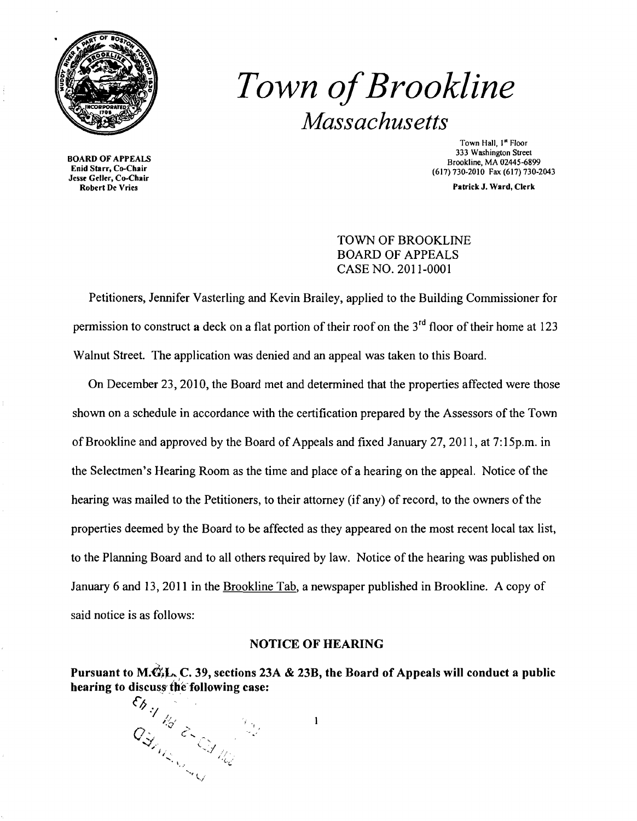

# *Town ofBrookline Massachusetts*

Jesse Geller, Co-Chair

Town Hall, I" Floor 333 Washington Street BOARD OF APPEALS<br>Enid Starr, Co-Chair Brookline, MA 02445-6899<br>Call Starr, Co-Chair Brookline, MA 02445-6899 (617) 730-2010 Fax (617) 730-2043

Patrick J. Ward, Clerk

## TOWN OF BROOKLINE BOARD OF APPEALS CASE NO. 2011-0001

Petitioners, Jennifer Vasterling and Kevin Brailey, applied to the Building Commissioner for permission to construct a deck on a flat portion of their roof on the  $3<sup>rd</sup>$  floor of their home at 123 Walnut Street. The application was denied and an appeal was taken to this Board.

On December 23,2010, the Board met and determined that the properties affected were those shown on a schedule in accordance with the certification prepared by the Assessors of the Town of Brookline and approved by the Board of Appeals and fixed January 27, 2011, at 7:15p.m. in the Selectmen's Hearing Room as the time and place of a hearing on the appeal. Notice of the hearing was mailed to the Petitioners, to their attorney (if any) of record, to the owners of the properties deemed by the Board to be affected as they appeared on the most recent local tax list, to the Planning Board and to all others required by law. Notice of the hearing was published on January 6 and 13,2011 in the Brookline Tab, a newspaper published in Brookline. A copy of said notice is as follows:

## NOTICE OF HEARING

Pursuant to M. $\mathcal{C}_k$ L. C. 39, sections 23A & 23B, the Board of Appeals will conduct a public hearing to discuss the following case:

 $\mathbf{I}$ 

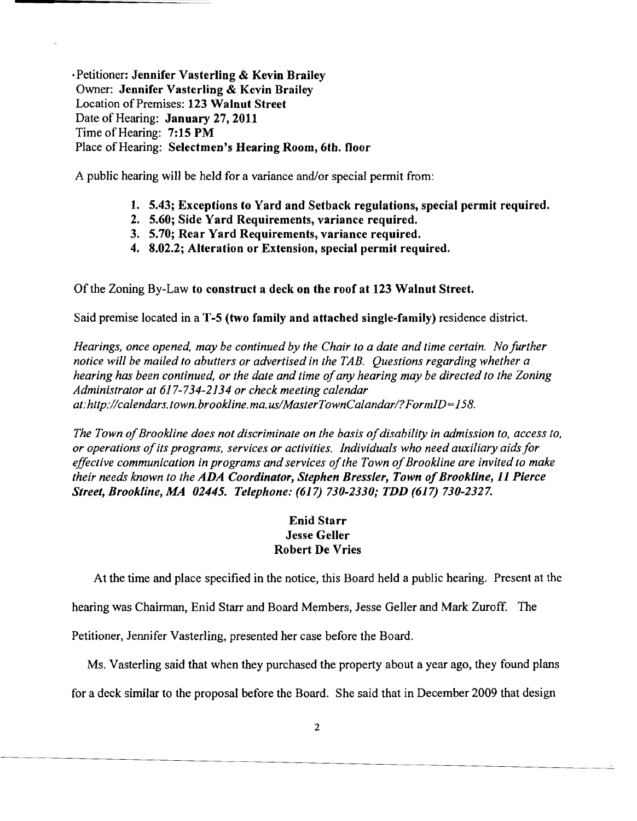·Petitioner: Jennifer Vasterling & Kevin Brailey Owner: Jennifer Vasterling & Kevin Brailey Location of Premises: 123 Walnut Street Date of Hearing: January 27,2011 Time of Hearing: 7:15 PM Place of Hearing: Selectmen's Hearing Room, 6th. floor

A public hearing will be held for a variance and/or special permit from:

- 1. 5.43; Exceptions to Yard and Setback regulations, special permit required.
- 2. 5.60; Side Yard Requirements, variance required.
- 3. 5.70; Rear Yard Requirements, variance required.
- 4. 8.02.2; Alteration or Extension, special permit required.

Of the Zoning By-Law to construct a deck on the roof at 123 Walnut Street.

Said premise located in a T-5 (two family and attached single-family) residence district.

*Hearings, once opened, may be continued by the Chair to a date and time certain. No further notice will be mailed to abutters or advertised in the TAB. Questions regarding whether a hearing has been continued, or the date and time ofany hearing may be directed to the Zoning Administrator at* 617-734-2134 *or check meeting calendar at:http://calendars.town.brookline.ma.us/MasterTownCalandar/?FormID=158.* 

The Town of Brookline does not discriminate on the basis of disability in admission to, access to, *or operations ofits programs, services or activities. Individuals who need auxiliary aids for effective communication in programs and services of the Town of Brookline are invited to make their needs known to the ADA Coordinator, Stephen Bressler, Town of Brookline, 11 Pierce Street, Brookline, MA 02445. Telephone:* (617) *730-2330; TDD* (617) *730-2327.* 

## Enid Starr Jesse Geller Robert De Vries

At the time and place specified in the notice, this Board held a public hearing. Present at the

hearing was Chairman, Enid Starr and Board Members, Jesse Geller and Mark Zuroff. The

Petitioner, Jennifer Vasterling, presented her case before the Board.

Ms. Vasterling said that when they purchased the property about a year ago, they found plans

for a deck similar to the proposal before the Board. She said that in December 2009 that design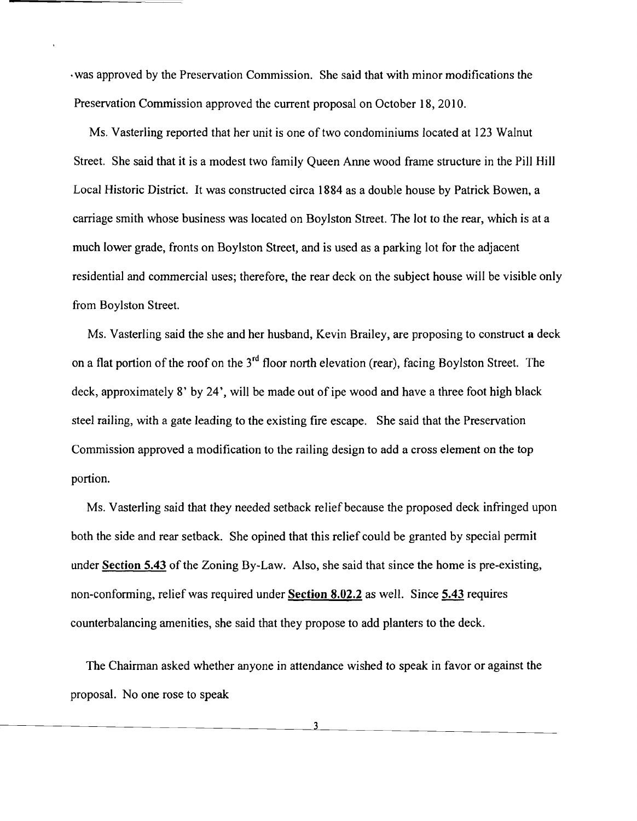·was approved by the Preservation Commission. She said that with minor modifications the Preservation Commission approved the current proposal on October 18, 2010.

Ms. Vasterling reported that her unit is one of two condominiums located at 123 Walnut Street. She said that it is a modest two family Queen Anne wood frame structure in the Pill Hill Local Historic District. It was constructed circa 1884 as a double house by Patrick Bowen, a carriage smith whose business was located on Boylston Street. The lot to the rear, which is at a much lower grade, fronts on Boylston Street, and is used as a parking lot for the adjacent residential and commercial uses; therefore, the rear deck on the subject house will be visible only from Boylston Street.

Ms. Vasterling said the she and her husband, Kevin Brailey, are proposing to construct a deck on a flat portion of the roof on the  $3<sup>rd</sup>$  floor north elevation (rear), facing Boylston Street. The deck, approximately 8' by 24', will be made out of ipe wood and have a three foot high black steel railing, with a gate leading to the existing fire escape. She said that the Preservation Commission approved a modification to the railing design to add a cross element on the top portion.

Ms. Vasterling said that they needed setback relief because the proposed deck infringed upon both the side and rear setback. She opined that this relief could be granted by special permit under Section 5.43 of the Zoning By-Law. Also, she said that since the home is pre-existing, non-conforming, relief was required under Section 8.02.2 as well. Since 5.43 requires counterbalancing amenities, she said that they propose to add planters to the deck.

The Chairman asked whether anyone in attendance wished to speak in favor or against the proposal. No one rose to speak

3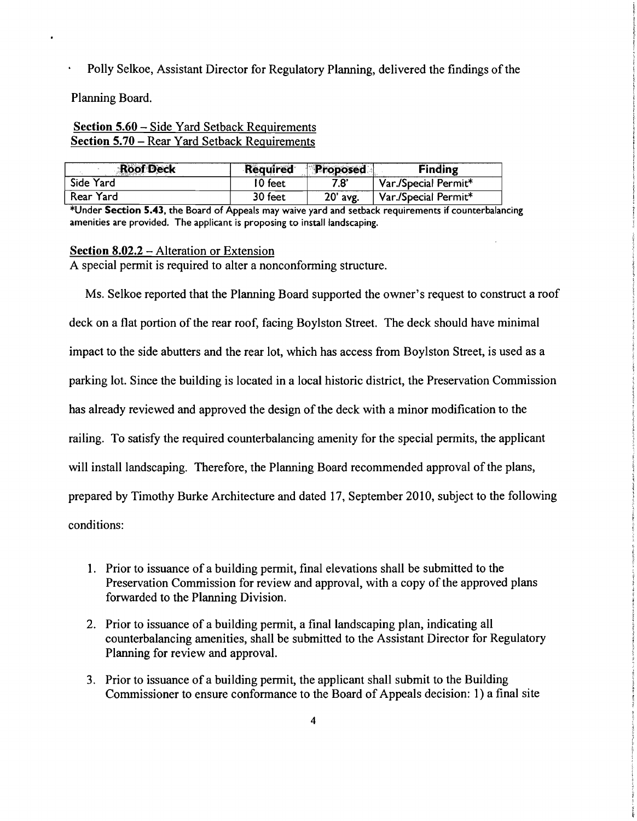Polly Selkoe, Assistant Director for Regulatory Planning, delivered the findings of the

Planning Board.

## Section 5.60 – Side Yard Setback Requirements Section 5.70 – Rear Yard Setback Requirements

| <b>Roof Deck</b> | <b>Required</b> | Proposed | <b>Finding</b>       |
|------------------|-----------------|----------|----------------------|
| Side Yard        | 10 feet         | 7.8'     | Var./Special Permit* |
| Rear Yard        | 30 feet         | 20' avg. | Var./Special Permit* |

\*Under Section 5.43, the Board of Appeals may waive yard and setback requirements if counterbalancing amenities are provided. The applicant is proposing to install landscaping.

#### Section  $8.02.2$  – Alteration or Extension

A special permit is required to alter a nonconforming structure.

Ms. Selkoe reported that the Planning Board supported the owner's request to construct a roof deck on a flat portion of the rear roof, facing Boylston Street. The deck should have minimal impact to the side abutters and the rear lot, which has access from Boylston Street, is used as a parking lot. Since the building is located in a local historic district, the Preservation Commission has already reviewed and approved the design of the deck with a minor modification to the railing. To satisfy the required counterbalancing amenity for the special pennits, the applicant will install landscaping. Therefore, the Planning Board recommended approval of the plans, prepared by Timothy Burke Architecture and dated 17, September 2010, subject to the following conditions:

- 1. Prior to issuance of a building permit, final elevations shall be submitted to the Preservation Commission for review and approval, with a copy of the approved plans forwarded to the Planning Division.
- 2. Prior to issuance of a building permit, a final landscaping plan, indicating all counterbalancing amenities, shall be submitted to the Assistant Director for Regulatory Planning for review and approval.
- 3. Prior to issuance of a building permit, the applicant shall submit to the Building Commissioner to ensure confonnance to the Board of Appeals decision: 1) a final site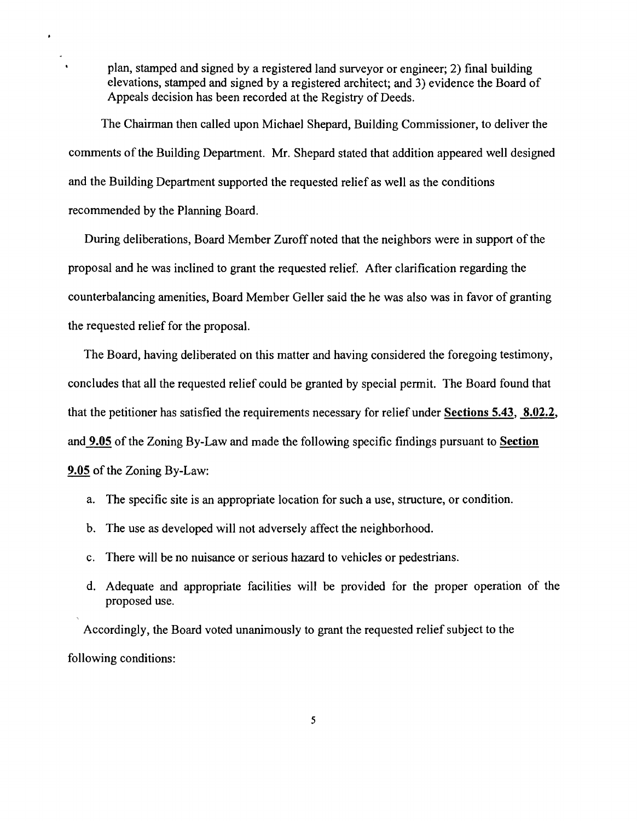plan, stamped and signed by a registered land surveyor or engineer; 2) final building elevations, stamped and signed by a registered architect; and 3) evidence the Board of Appeals decision has been recorded at the Registry of Deeds.

The Chairman then called upon Michael Shepard, Building Commissioner, to deliver the comments of the Building Department. Mr. Shepard stated that addition appeared well designed and the Building Department supported the requested relief as well as the conditions recommended by the Planning Board.

During deliberations, Board Member Zuroff noted that the neighbors were in support of the proposal and he was inclined to grant the requested relief. After clarification regarding the counterbalancing amenities, Board Member Geller said the he was also was in favor of granting the requested relief for the proposal.

The Board, having deliberated on this matter and having considered the foregoing testimony, concludes that all the requested relief could be granted by special permit. The Board found that that the petitioner has satisfied the requirements necessary for relief under Sections 5.43, 8.02.2, and **9.05** of the Zoning By-Law and made the following specific findings pursuant to Section 9.05 of the Zoning By-Law:

- a. The specific site is an appropriate location for such a use, structure, or condition.
- b. The use as developed will not adversely affect the neighborhood.
- c. There will be no nuisance or serious hazard to vehicles or pedestrians.
- d. Adequate and appropriate facilities will be provided for the proper operation of the proposed use.

Accordingly, the Board voted unanimously to grant the requested relief subject to the following conditions: